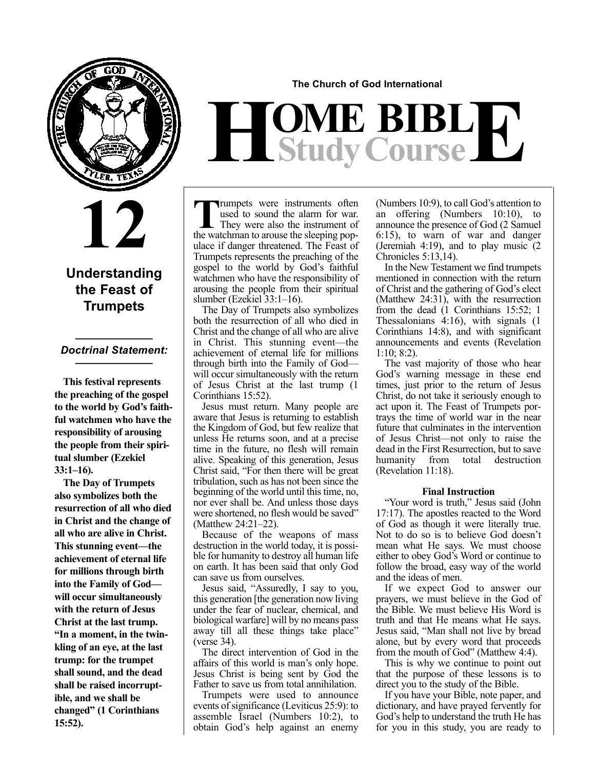

**12**

## **Understanding the Feast of Trumpets**

## **\_\_\_\_\_\_\_\_\_\_\_\_\_** *Doctrinal Statement:* **\_\_\_\_\_\_\_\_\_\_\_\_\_**

**This festival represents the preaching of the gospel to the world by God's faithful watchmen who have the responsibility of arousing the people from their spiritual slumber (Ezekiel 33:1–16).**

**The Day of Trumpets also symbolizes both the resurrection of all who died in Christ and the change of all who are alive in Christ. This stunning event—the achievement of eternal life for millions through birth into the Family of God will occur simultaneously with the return of Jesus Christ at the last trump. "In a moment, in the twinkling of an eye, at the last trump: for the trumpet shall sound, and the dead shall be raised incorruptible, and we shall be changed" (1 Corinthians 15:52).**

### **The Church of God International**

# $H$ **Study Course**

Trumpets were instruments often<br>used to sound the alarm for war.<br>They were also the instrument of<br>the watchman to arouse the sleeping pop used to sound the alarm for war. They were also the instrument of the watchman to arouse the sleeping populace if danger threatened. The Feast of Trumpets represents the preaching of the gospel to the world by God's faithful watchmen who have the responsibility of arousing the people from their spiritual slumber (Ezekiel 33:1–16).

The Day of Trumpets also symbolizes both the resurrection of all who died in Christ and the change of all who are alive in Christ. This stunning event—the achievement of eternal life for millions through birth into the Family of God will occur simultaneously with the return of Jesus Christ at the last trump (1 Corinthians 15:52).

Jesus must return. Many people are aware that Jesus is returning to establish the Kingdom of God, but few realize that unless He returns soon, and at a precise time in the future, no flesh will remain alive. Speaking of this generation, Jesus Christ said, "For then there will be great tribulation, such as has not been since the beginning of the world until this time, no, nor ever shall be. And unless those days were shortened, no flesh would be saved" (Matthew 24:21–22).

Because of the weapons of mass destruction in the world today, it is possible for humanity to destroy all human life on earth. It has been said that only God can save us from ourselves.

Jesus said, "Assuredly, I say to you, this generation [the generation now living under the fear of nuclear, chemical, and biological warfare] will by no means pass away till all these things take place" (verse 34).

The direct intervention of God in the affairs of this world is man's only hope. Jesus Christ is being sent by God the Father to save us from total annihilation.

Trumpets were used to announce events of significance (Leviticus 25:9): to assemble Israel (Numbers 10:2), to obtain God's help against an enemy (Numbers 10:9), to call God's attention to an offering (Numbers 10:10), to announce the presence of God (2 Samuel 6:15), to warn of war and danger (Jeremiah 4:19), and to play music (2 Chronicles 5:13,14).

In the New Testament we find trumpets mentioned in connection with the return of Christ and the gathering of God's elect (Matthew 24:31), with the resurrection from the dead (1 Corinthians 15:52; 1 Thessalonians 4:16), with signals (1 Corinthians 14:8), and with significant announcements and events (Revelation 1:10; 8:2).

The vast majority of those who hear God's warning message in these end times, just prior to the return of Jesus Christ, do not take it seriously enough to act upon it. The Feast of Trumpets portrays the time of world war in the near future that culminates in the intervention of Jesus Christ—not only to raise the dead in the First Resurrection, but to save humanity from total destruction (Revelation 11:18).

### **Final Instruction**

"Your word is truth," Jesus said (John 17:17). The apostles reacted to the Word of God as though it were literally true. Not to do so is to believe God doesn't mean what He says. We must choose either to obey God's Word or continue to follow the broad, easy way of the world and the ideas of men.

If we expect God to answer our prayers, we must believe in the God of the Bible. We must believe His Word is truth and that He means what He says. Jesus said, "Man shall not live by bread alone, but by every word that proceeds from the mouth of God" (Matthew 4:4).

This is why we continue to point out that the purpose of these lessons is to direct you to the study of the Bible.

If you have your Bible, note paper, and dictionary, and have prayed fervently for God's help to understand the truth He has for you in this study, you are ready to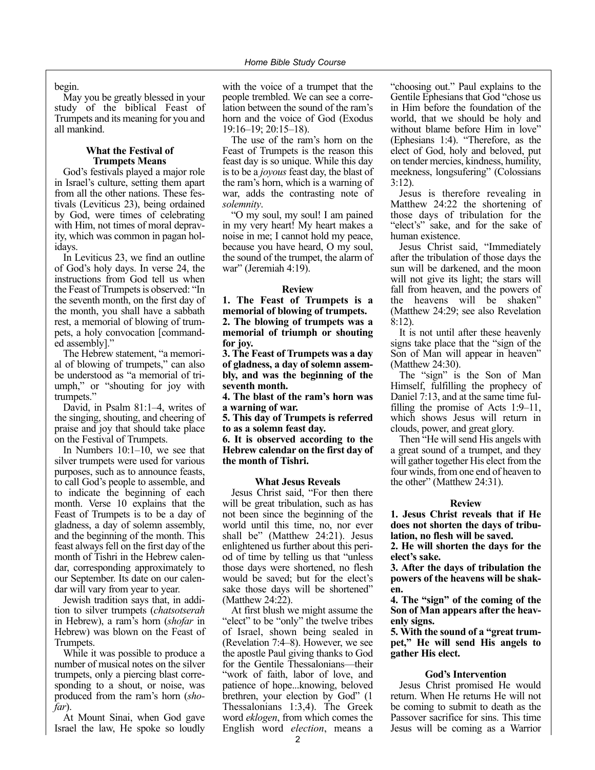begin.

May you be greatly blessed in your study of the biblical Feast of Trumpets and its meaning for you and all mankind.

### **What the Festival of Trumpets Means**

God's festivals played a major role in Israel's culture, setting them apart from all the other nations. These festivals (Leviticus 23), being ordained by God, were times of celebrating with Him, not times of moral depravity, which was common in pagan holidays.

In Leviticus 23, we find an outline of God's holy days. In verse 24, the instructions from God tell us when the Feast of Trumpets is observed: "In the seventh month, on the first day of the month, you shall have a sabbath rest, a memorial of blowing of trumpets, a holy convocation [commanded assembly]."

The Hebrew statement, "a memorial of blowing of trumpets," can also be understood as "a memorial of triumph," or "shouting for joy with trumpets."

David, in Psalm 81:1–4, writes of the singing, shouting, and cheering of praise and joy that should take place on the Festival of Trumpets.

In Numbers 10:1–10, we see that silver trumpets were used for various purposes, such as to announce feasts, to call God's people to assemble, and to indicate the beginning of each month. Verse 10 explains that the Feast of Trumpets is to be a day of gladness, a day of solemn assembly, and the beginning of the month. This feast always fell on the first day of the month of Tishri in the Hebrew calendar, corresponding approximately to our September. Its date on our calendar will vary from year to year.

Jewish tradition says that, in addition to silver trumpets (*chatsotserah* in Hebrew), a ram's horn (*shofar* in Hebrew) was blown on the Feast of Trumpets.

While it was possible to produce a number of musical notes on the silver trumpets, only a piercing blast corresponding to a shout, or noise, was produced from the ram's horn (*shofar*).

At Mount Sinai, when God gave Israel the law, He spoke so loudly with the voice of a trumpet that the people trembled. We can see a correlation between the sound of the ram's horn and the voice of God (Exodus 19:16–19; 20:15–18).

The use of the ram's horn on the Feast of Trumpets is the reason this feast day is so unique. While this day is to be a *joyous* feast day, the blast of the ram's horn, which is a warning of war, adds the contrasting note of *solemnity*.

"O my soul, my soul! I am pained in my very heart! My heart makes a noise in me; I cannot hold my peace, because you have heard, O my soul, the sound of the trumpet, the alarm of war" (Jeremiah 4:19).

### **Review**

**1. The Feast of Trumpets is a memorial of blowing of trumpets. 2. The blowing of trumpets was a memorial of triumph or shouting for joy.**

**3. The Feast of Trumpets was a day of gladness, a day of solemn assembly, and was the beginning of the seventh month.**

**4. The blast of the ram's horn was a warning of war.**

**5. This day of Trumpets is referred to as a solemn feast day.**

**6. It is observed according to the Hebrew calendar on the first day of the month of Tishri.**

### **What Jesus Reveals**

Jesus Christ said, "For then there will be great tribulation, such as has not been since the beginning of the world until this time, no, nor ever shall be" (Matthew 24:21). Jesus enlightened us further about this period of time by telling us that "unless those days were shortened, no flesh would be saved; but for the elect's sake those days will be shortened" (Matthew 24:22).

At first blush we might assume the "elect" to be "only" the twelve tribes of Israel, shown being sealed in (Revelation 7:4–8). However, we see the apostle Paul giving thanks to God for the Gentile Thessalonians—their "work of faith, labor of love, and patience of hope...knowing, beloved brethren, your election by God" (1 Thessalonians 1:3,4). The Greek word *eklogen*, from which comes the English word *election*, means a "choosing out." Paul explains to the Gentile Ephesians that God "chose us in Him before the foundation of the world, that we should be holy and without blame before Him in love" (Ephesians 1:4). "Therefore, as the elect of God, holy and beloved, put on tender mercies, kindness, humility, meekness, longsufering" (Colossians 3:12).

Jesus is therefore revealing in Matthew 24:22 the shortening of those days of tribulation for the "elect's" sake, and for the sake of human existence.

Jesus Christ said, "Immediately after the tribulation of those days the sun will be darkened, and the moon will not give its light; the stars will fall from heaven, and the powers of the heavens will be shaken" (Matthew 24:29; see also Revelation 8:12).

It is not until after these heavenly signs take place that the "sign of the Son of Man will appear in heaven" (Matthew 24:30).

The "sign" is the Son of Man Himself, fulfilling the prophecy of Daniel 7:13, and at the same time fulfilling the promise of Acts 1:9–11, which shows Jesus will return in clouds, power, and great glory.

Then "He will send His angels with a great sound of a trumpet, and they will gather together His elect from the four winds, from one end of heaven to the other" (Matthew 24:31).

### **Review**

**1. Jesus Christ reveals that if He does not shorten the days of tribulation, no flesh will be saved.**

**2. He will shorten the days for the elect's sake.**

**3. After the days of tribulation the powers of the heavens will be shaken.**

**4. The "sign" of the coming of the Son of Man appears after the heavenly signs.**

**5. With the sound of a "great trumpet," He will send His angels to gather His elect.**

### **God's Intervention**

Jesus Christ promised He would return. When He returns He will not be coming to submit to death as the Passover sacrifice for sins. This time Jesus will be coming as a Warrior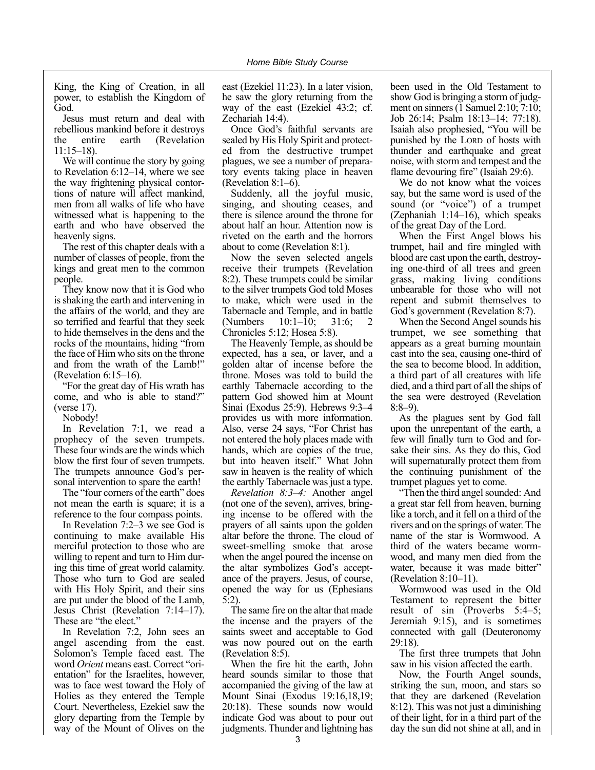King, the King of Creation, in all power, to establish the Kingdom of God.

Jesus must return and deal with rebellious mankind before it destroys the entire earth (Revelation 11:15–18).

We will continue the story by going to Revelation 6:12–14, where we see the way frightening physical contortions of nature will affect mankind, men from all walks of life who have witnessed what is happening to the earth and who have observed the heavenly signs.

The rest of this chapter deals with a number of classes of people, from the kings and great men to the common people.

They know now that it is God who is shaking the earth and intervening in the affairs of the world, and they are so terrified and fearful that they seek to hide themselves in the dens and the rocks of the mountains, hiding "from the face of Him who sits on the throne and from the wrath of the Lamb!" (Revelation 6:15–16).

"For the great day of His wrath has come, and who is able to stand?" (verse 17).

Nobody!

In Revelation 7:1, we read a prophecy of the seven trumpets. These four winds are the winds which blow the first four of seven trumpets. The trumpets announce God's personal intervention to spare the earth!

The "four corners of the earth" does not mean the earth is square; it is a reference to the four compass points.

In Revelation 7:2–3 we see God is continuing to make available His merciful protection to those who are willing to repent and turn to Him during this time of great world calamity. Those who turn to God are sealed with His Holy Spirit, and their sins are put under the blood of the Lamb, Jesus Christ (Revelation 7:14–17). These are "the elect."

In Revelation 7:2, John sees an angel ascending from the east. Solomon's Temple faced east. The word *Orient* means east. Correct "orientation" for the Israelites, however, was to face west toward the Holy of Holies as they entered the Temple Court. Nevertheless, Ezekiel saw the glory departing from the Temple by way of the Mount of Olives on the

east (Ezekiel 11:23). In a later vision, he saw the glory returning from the way of the east (Ezekiel 43:2; cf. Zechariah 14:4).

Once God's faithful servants are sealed by His Holy Spirit and protected from the destructive trumpet plagues, we see a number of preparatory events taking place in heaven (Revelation 8:1–6).

Suddenly, all the joyful music, singing, and shouting ceases, and there is silence around the throne for about half an hour. Attention now is riveted on the earth and the horrors about to come (Revelation 8:1).

Now the seven selected angels receive their trumpets (Revelation 8:2). These trumpets could be similar to the silver trumpets God told Moses to make, which were used in the Tabernacle and Temple, and in battle (Numbers 10:1–10; 31:6; 2 Chronicles 5:12; Hosea 5:8).

The Heavenly Temple, as should be expected, has a sea, or laver, and a golden altar of incense before the throne. Moses was told to build the earthly Tabernacle according to the pattern God showed him at Mount Sinai (Exodus 25:9). Hebrews 9:3–4 provides us with more information. Also, verse 24 says, "For Christ has not entered the holy places made with hands, which are copies of the true, but into heaven itself." What John saw in heaven is the reality of which the earthly Tabernacle was just a type.

*Revelation 8:3–4:* Another angel (not one of the seven), arrives, bringing incense to be offered with the prayers of all saints upon the golden altar before the throne. The cloud of sweet-smelling smoke that arose when the angel poured the incense on the altar symbolizes God's acceptance of the prayers. Jesus, of course, opened the way for us (Ephesians 5:2).

The same fire on the altar that made the incense and the prayers of the saints sweet and acceptable to God was now poured out on the earth (Revelation 8:5).

When the fire hit the earth, John heard sounds similar to those that accompanied the giving of the law at Mount Sinai (Exodus 19:16,18,19; 20:18). These sounds now would indicate God was about to pour out judgments. Thunder and lightning has

been used in the Old Testament to show God is bringing a storm of judgment on sinners (1 Samuel 2:10; 7:10; Job 26:14; Psalm 18:13–14; 77:18). Isaiah also prophesied, "You will be punished by the LORD of hosts with thunder and earthquake and great noise, with storm and tempest and the flame devouring fire" (Isaiah 29:6).

We do not know what the voices say, but the same word is used of the sound (or "voice") of a trumpet (Zephaniah 1:14–16), which speaks of the great Day of the Lord.

When the First Angel blows his trumpet, hail and fire mingled with blood are cast upon the earth, destroying one-third of all trees and green grass, making living conditions unbearable for those who will not repent and submit themselves to God's government (Revelation 8:7).

When the Second Angel sounds his trumpet, we see something that appears as a great burning mountain cast into the sea, causing one-third of the sea to become blood. In addition, a third part of all creatures with life died, and a third part of all the ships of the sea were destroyed (Revelation 8:8–9).

As the plagues sent by God fall upon the unrepentant of the earth, a few will finally turn to God and forsake their sins. As they do this, God will supernaturally protect them from the continuing punishment of the trumpet plagues yet to come.

"Then the third angel sounded: And a great star fell from heaven, burning like a torch, and it fell on a third of the rivers and on the springs of water. The name of the star is Wormwood. A third of the waters became wormwood, and many men died from the water, because it was made bitter" (Revelation 8:10–11).

Wormwood was used in the Old Testament to represent the bitter result of sin (Proverbs 5:4–5; Jeremiah 9:15), and is sometimes connected with gall (Deuteronomy 29:18).

The first three trumpets that John saw in his vision affected the earth.

Now, the Fourth Angel sounds, striking the sun, moon, and stars so that they are darkened (Revelation 8:12). This was not just a diminishing of their light, for in a third part of the day the sun did not shine at all, and in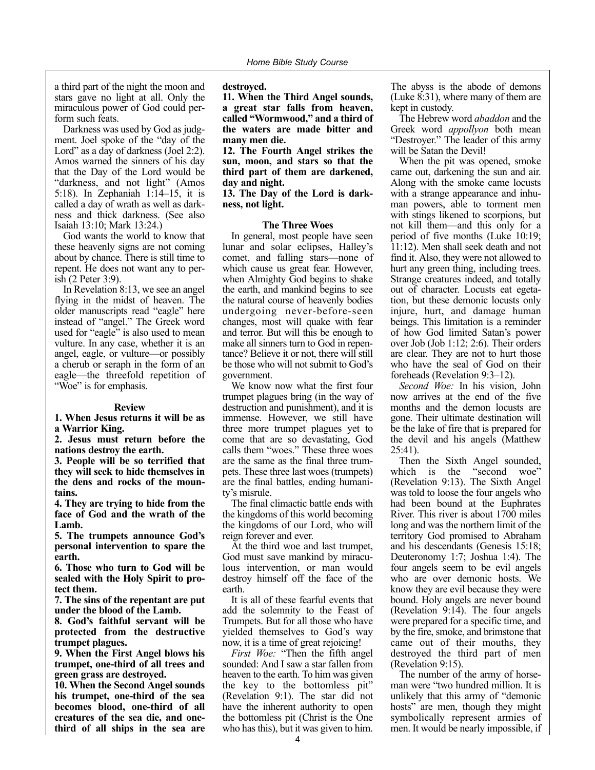a third part of the night the moon and stars gave no light at all. Only the miraculous power of God could perform such feats.

Darkness was used by God as judgment. Joel spoke of the "day of the Lord" as a day of darkness (Joel 2:2). Amos warned the sinners of his day that the Day of the Lord would be "darkness, and not light" (Amos 5:18). In Zephaniah 1:14–15, it is called a day of wrath as well as darkness and thick darkness. (See also Isaiah 13:10; Mark 13:24.)

God wants the world to know that these heavenly signs are not coming about by chance. There is still time to repent. He does not want any to perish (2 Peter 3:9).

In Revelation 8:13, we see an angel flying in the midst of heaven. The older manuscripts read "eagle" here instead of "angel." The Greek word used for "eagle" is also used to mean vulture. In any case, whether it is an angel, eagle, or vulture—or possibly a cherub or seraph in the form of an eagle—the threefold repetition of "Woe" is for emphasis.

### **Review**

**1. When Jesus returns it will be as a Warrior King.**

**2. Jesus must return before the nations destroy the earth.**

**3. People will be so terrified that they will seek to hide themselves in the dens and rocks of the mountains.**

**4. They are trying to hide from the face of God and the wrath of the Lamb.**

**5. The trumpets announce God's personal intervention to spare the earth.**

**6. Those who turn to God will be sealed with the Holy Spirit to protect them.**

**7. The sins of the repentant are put under the blood of the Lamb.**

**8. God's faithful servant will be protected from the destructive trumpet plagues.**

**9. When the First Angel blows his trumpet, one-third of all trees and green grass are destroyed.**

**10. When the Second Angel sounds his trumpet, one-third of the sea becomes blood, one-third of all creatures of the sea die, and onethird of all ships in the sea are** **destroyed.**

**11. When the Third Angel sounds, a great star falls from heaven, called "Wormwood," and a third of the waters are made bitter and many men die.**

**12. The Fourth Angel strikes the sun, moon, and stars so that the third part of them are darkened, day and night.**

**13. The Day of the Lord is darkness, not light.**

### **The Three Woes**

In general, most people have seen lunar and solar eclipses, Halley's comet, and falling stars—none of which cause us great fear. However, when Almighty God begins to shake the earth, and mankind begins to see the natural course of heavenly bodies undergoing never-before-seen changes, most will quake with fear and terror. But will this be enough to make all sinners turn to God in repentance? Believe it or not, there will still be those who will not submit to God's government.

We know now what the first four trumpet plagues bring (in the way of destruction and punishment), and it is immense. However, we still have three more trumpet plagues yet to come that are so devastating, God calls them "woes." These three woes are the same as the final three trumpets. These three last woes (trumpets) are the final battles, ending humanity's misrule.

The final climactic battle ends with the kingdoms of this world becoming the kingdoms of our Lord, who will reign forever and ever.

At the third woe and last trumpet, God must save mankind by miraculous intervention, or man would destroy himself off the face of the earth.

It is all of these fearful events that add the solemnity to the Feast of Trumpets. But for all those who have yielded themselves to God's way now, it is a time of great rejoicing!

*First Woe:* "Then the fifth angel sounded: And I saw a star fallen from heaven to the earth. To him was given the key to the bottomless pit" (Revelation 9:1). The star did not have the inherent authority to open the bottomless pit (Christ is the One who has this), but it was given to him.

The abyss is the abode of demons (Luke 8:31), where many of them are kept in custody.

The Hebrew word *abaddon* and the Greek word *appollyon* both mean "Destroyer." The leader of this army will be Satan the Devil!

When the pit was opened, smoke came out, darkening the sun and air. Along with the smoke came locusts with a strange appearance and inhuman powers, able to torment men with stings likened to scorpions, but not kill them—and this only for a period of five months (Luke 10:19; 11:12). Men shall seek death and not find it. Also, they were not allowed to hurt any green thing, including trees. Strange creatures indeed, and totally out of character. Locusts eat egetation, but these demonic locusts only injure, hurt, and damage human beings. This limitation is a reminder of how God limited Satan's power over Job (Job 1:12; 2:6). Their orders are clear. They are not to hurt those who have the seal of God on their foreheads (Revelation 9:3–12).

*Second Woe:* In his vision, John now arrives at the end of the five months and the demon locusts are gone. Their ultimate destination will be the lake of fire that is prepared for the devil and his angels (Matthew 25:41).

Then the Sixth Angel sounded, which is the "second woe" (Revelation 9:13). The Sixth Angel was told to loose the four angels who had been bound at the Euphrates River. This river is about 1700 miles long and was the northern limit of the territory God promised to Abraham and his descendants (Genesis 15:18; Deuteronomy 1:7; Joshua 1:4). The four angels seem to be evil angels who are over demonic hosts. We know they are evil because they were bound. Holy angels are never bound (Revelation 9:14). The four angels were prepared for a specific time, and by the fire, smoke, and brimstone that came out of their mouths, they destroyed the third part of men (Revelation 9:15).

The number of the army of horseman were "two hundred million. It is unlikely that this army of "demonic hosts" are men, though they might symbolically represent armies of men. It would be nearly impossible, if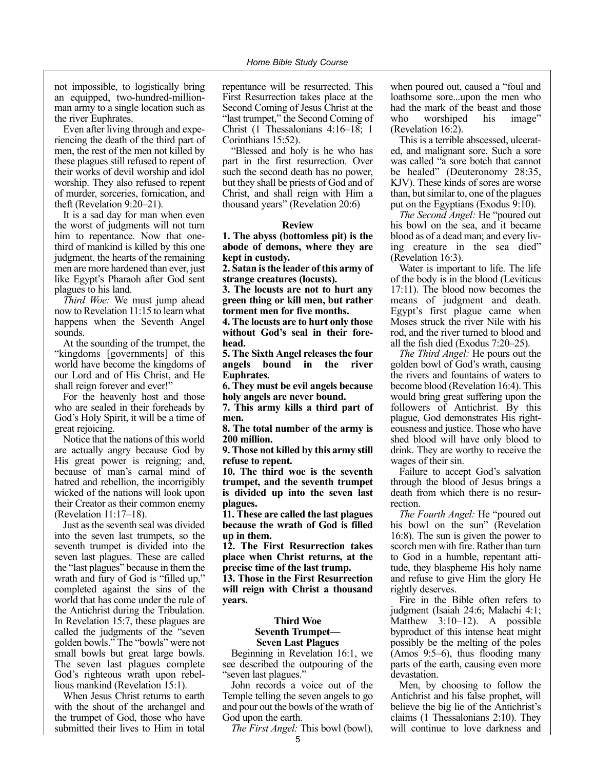not impossible, to logistically bring an equipped, two-hundred-millionman army to a single location such as the river Euphrates.

Even after living through and experiencing the death of the third part of men, the rest of the men not killed by these plagues still refused to repent of their works of devil worship and idol worship. They also refused to repent of murder, sorceries, fornication, and theft (Revelation 9:20–21).

It is a sad day for man when even the worst of judgments will not turn him to repentance. Now that onethird of mankind is killed by this one judgment, the hearts of the remaining men are more hardened than ever, just like Egypt's Pharaoh after God sent plagues to his land.

*Third Woe:* We must jump ahead now to Revelation 11:15 to learn what happens when the Seventh Angel sounds.

At the sounding of the trumpet, the "kingdoms [governments] of this world have become the kingdoms of our Lord and of His Christ, and He shall reign forever and ever!"

For the heavenly host and those who are sealed in their foreheads by God's Holy Spirit, it will be a time of great rejoicing.

Notice that the nations of this world are actually angry because God by His great power is reigning; and, because of man's carnal mind of hatred and rebellion, the incorrigibly wicked of the nations will look upon their Creator as their common enemy (Revelation 11:17–18).

Just as the seventh seal was divided into the seven last trumpets, so the seventh trumpet is divided into the seven last plagues. These are called the "last plagues" because in them the wrath and fury of God is "filled up," completed against the sins of the world that has come under the rule of the Antichrist during the Tribulation. In Revelation 15:7, these plagues are called the judgments of the "seven golden bowls." The "bowls" were not small bowls but great large bowls. The seven last plagues complete God's righteous wrath upon rebellious mankind (Revelation 15:1).

When Jesus Christ returns to earth with the shout of the archangel and the trumpet of God, those who have submitted their lives to Him in total

repentance will be resurrected. This First Resurrection takes place at the Second Coming of Jesus Christ at the "last trumpet," the Second Coming of Christ (1 Thessalonians 4:16–18; 1 Corinthians 15:52).

"Blessed and holy is he who has part in the first resurrection. Over such the second death has no power, but they shall be priests of God and of Christ, and shall reign with Him a thousand years" (Revelation 20:6)

### **Review**

**1. The abyss (bottomless pit) is the abode of demons, where they are kept in custody.**

**2. Satan is the leader of this army of strange creatures (locusts).**

**3. The locusts are not to hurt any green thing or kill men, but rather torment men for five months.**

**4. The locusts are to hurt only those without God's seal in their forehead.**

**5. The Sixth Angel releases the four angels bound in the river Euphrates.**

**6. They must be evil angels because holy angels are never bound.**

**7. This army kills a third part of men.**

**8. The total number of the army is 200 million.**

**9. Those not killed by this army still refuse to repent.**

**10. The third woe is the seventh trumpet, and the seventh trumpet is divided up into the seven last plagues.**

**11. These are called the last plagues because the wrath of God is filled up in them.**

**12. The First Resurrection takes place when Christ returns, at the precise time of the last trump.**

**13. Those in the First Resurrection will reign with Christ a thousand years.**

### **Third Woe Seventh Trumpet— Seven Last Plagues**

Beginning in Revelation 16:1, we see described the outpouring of the "seven last plagues."

John records a voice out of the Temple telling the seven angels to go and pour out the bowls of the wrath of God upon the earth.

*The First Angel:* This bowl (bowl),

when poured out, caused a "foul and loathsome sore...upon the men who had the mark of the beast and those who worshiped his image" (Revelation 16:2).

This is a terrible abscessed, ulcerated, and malignant sore. Such a sore was called "a sore botch that cannot be healed" (Deuteronomy 28:35, KJV). These kinds of sores are worse than, but similar to, one of the plagues put on the Egyptians (Exodus 9:10).

*The Second Angel:* He "poured out his bowl on the sea, and it became blood as of a dead man; and every living creature in the sea died" (Revelation 16:3).

Water is important to life. The life of the body is in the blood (Leviticus 17:11). The blood now becomes the means of judgment and death. Egypt's first plague came when Moses struck the river Nile with his rod, and the river turned to blood and all the fish died (Exodus 7:20–25).

*The Third Angel:* He pours out the golden bowl of God's wrath, causing the rivers and fountains of waters to become blood (Revelation 16:4). This would bring great suffering upon the followers of Antichrist. By this plague, God demonstrates His righteousness and justice. Those who have shed blood will have only blood to drink. They are worthy to receive the wages of their sin.

Failure to accept God's salvation through the blood of Jesus brings a death from which there is no resurrection.

*The Fourth Angel:* He "poured out his bowl on the sun" (Revelation 16:8). The sun is given the power to scorch men with fire. Rather than turn to God in a humble, repentant attitude, they blaspheme His holy name and refuse to give Him the glory He rightly deserves.

Fire in the Bible often refers to judgment (Isaiah 24:6; Malachi 4:1; Matthew 3:10–12). A possible byproduct of this intense heat might possibly be the melting of the poles (Amos 9:5–6), thus flooding many parts of the earth, causing even more devastation.

Men, by choosing to follow the Antichrist and his false prophet, will believe the big lie of the Antichrist's claims (1 Thessalonians 2:10). They will continue to love darkness and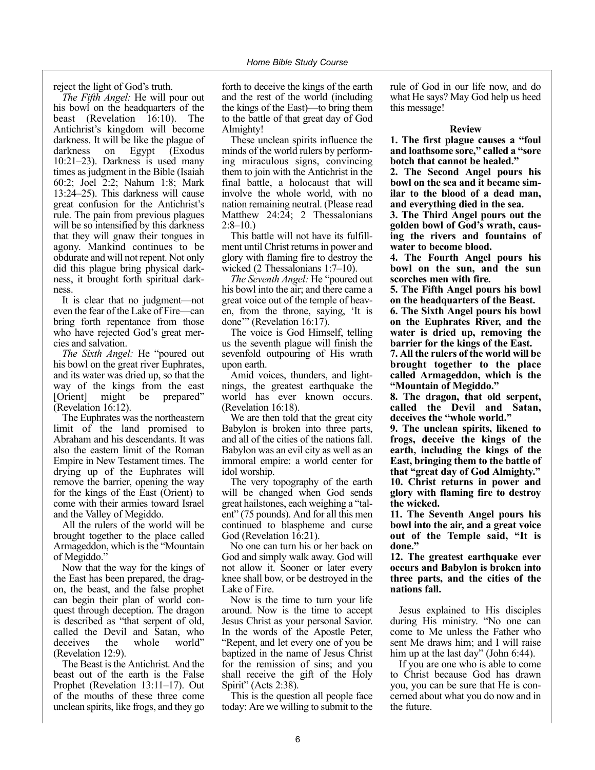reject the light of God's truth.

*The Fifth Angel:* He will pour out his bowl on the headquarters of the beast (Revelation 16:10). The Antichrist's kingdom will become darkness. It will be like the plague of darkness on Egypt (Exodus 10:21–23). Darkness is used many times as judgment in the Bible (Isaiah 60:2; Joel 2:2; Nahum 1:8; Mark 13:24–25). This darkness will cause great confusion for the Antichrist's rule. The pain from previous plagues will be so intensified by this darkness that they will gnaw their tongues in agony. Mankind continues to be obdurate and will not repent. Not only did this plague bring physical darkness, it brought forth spiritual darkness.

It is clear that no judgment—not even the fear of the Lake of Fire—can bring forth repentance from those who have rejected God's great mercies and salvation.

*The Sixth Angel:* He "poured out his bowl on the great river Euphrates, and its water was dried up, so that the way of the kings from the east [Orient] might be prepared" (Revelation 16:12).

The Euphrates was the northeastern limit of the land promised to Abraham and his descendants. It was also the eastern limit of the Roman Empire in New Testament times. The drying up of the Euphrates will remove the barrier, opening the way for the kings of the East (Orient) to come with their armies toward Israel and the Valley of Megiddo.

All the rulers of the world will be brought together to the place called Armageddon, which is the "Mountain of Megiddo."

Now that the way for the kings of the East has been prepared, the dragon, the beast, and the false prophet can begin their plan of world conquest through deception. The dragon is described as "that serpent of old, called the Devil and Satan, who deceives the whole world" deceives the (Revelation 12:9).

The Beast is the Antichrist. And the beast out of the earth is the False Prophet (Revelation 13:11–17). Out of the mouths of these three come unclean spirits, like frogs, and they go

forth to deceive the kings of the earth and the rest of the world (including the kings of the East)—to bring them to the battle of that great day of God Almighty!

These unclean spirits influence the minds of the world rulers by performing miraculous signs, convincing them to join with the Antichrist in the final battle, a holocaust that will involve the whole world, with no nation remaining neutral. (Please read Matthew 24:24; 2 Thessalonians  $2:8-10.$ 

This battle will not have its fulfillment until Christ returns in power and glory with flaming fire to destroy the wicked (2 Thessalonians 1:7–10).

*The Seventh Angel:* He "poured out his bowl into the air; and there came a great voice out of the temple of heaven, from the throne, saying, 'It is done'" (Revelation 16:17).

The voice is God Himself, telling us the seventh plague will finish the sevenfold outpouring of His wrath upon earth.

Amid voices, thunders, and lightnings, the greatest earthquake the world has ever known occurs. (Revelation 16:18).

We are then told that the great city Babylon is broken into three parts, and all of the cities of the nations fall. Babylon was an evil city as well as an immoral empire: a world center for idol worship.

The very topography of the earth will be changed when God sends great hailstones, each weighing a "talent" (75 pounds). And for all this men continued to blaspheme and curse God (Revelation 16:21).

No one can turn his or her back on God and simply walk away. God will not allow it. Sooner or later every knee shall bow, or be destroyed in the Lake of Fire.

Now is the time to turn your life around. Now is the time to accept Jesus Christ as your personal Savior. In the words of the Apostle Peter, "Repent, and let every one of you be baptized in the name of Jesus Christ for the remission of sins; and you shall receive the gift of the Holy Spirit" (Acts 2:38).

This is the question all people face today: Are we willing to submit to the rule of God in our life now, and do what He says? May God help us heed this message!

### **Review**

**1. The first plague causes a "foul and loathsome sore," called a "sore botch that cannot be healed."**

**2. The Second Angel pours his bowl on the sea and it became similar to the blood of a dead man, and everything died in the sea.**

**3. The Third Angel pours out the golden bowl of God's wrath, causing the rivers and fountains of water to become blood.**

**4. The Fourth Angel pours his bowl on the sun, and the sun scorches men with fire.**

**5. The Fifth Angel pours his bowl on the headquarters of the Beast.**

**6. The Sixth Angel pours his bowl on the Euphrates River, and the water is dried up, removing the barrier for the kings of the East.**

**7. All the rulers of the world will be brought together to the place called Armageddon, which is the "Mountain of Megiddo."**

**8. The dragon, that old serpent, called the Devil and Satan, deceives the "whole world."**

**9. The unclean spirits, likened to frogs, deceive the kings of the earth, including the kings of the East, bringing them to the battle of that "great day of God Almighty." 10. Christ returns in power and glory with flaming fire to destroy the wicked.**

**11. The Seventh Angel pours his bowl into the air, and a great voice out of the Temple said, "It is done."**

**12. The greatest earthquake ever occurs and Babylon is broken into three parts, and the cities of the nations fall.**

Jesus explained to His disciples during His ministry. "No one can come to Me unless the Father who sent Me draws him; and I will raise him up at the last day" (John 6:44).

If you are one who is able to come to Christ because God has drawn you, you can be sure that He is concerned about what you do now and in the future.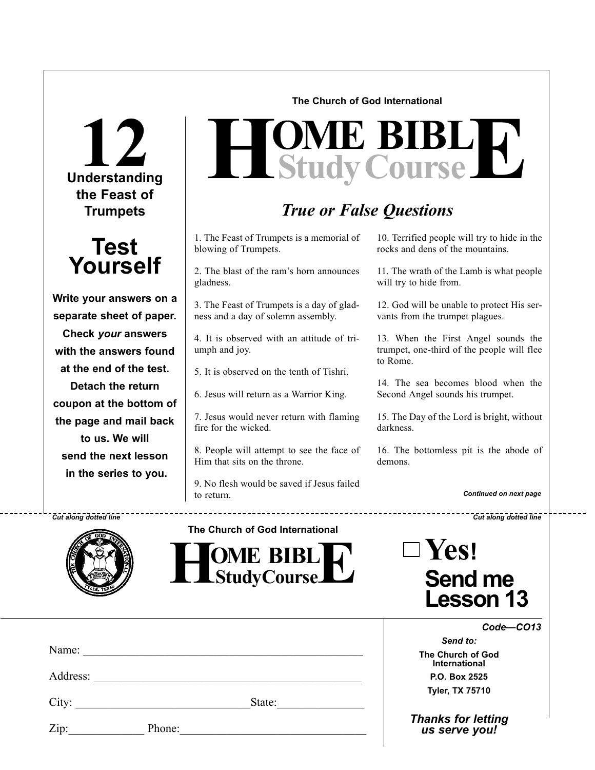**Understanding 12 the Feast of Trumpets**



**Write your answers on a separate sheet of paper. Check** *your* **answers with the answers found at the end of the test. Detach the return coupon at the bottom of the page and mail back to us. We will send the next lesson in the series to you.**

### **The Church of God International**

# $H$ **Study Course**

# *True or False Questions*

1. The Feast of Trumpets is a memorial of blowing of Trumpets.

2. The blast of the ram's horn announces gladness.

3. The Feast of Trumpets is a day of gladness and a day of solemn assembly.

4. It is observed with an attitude of triumph and joy.

5. It is observed on the tenth of Tishri.

6. Jesus will return as a Warrior King.

7. Jesus would never return with flaming fire for the wicked.

8. People will attempt to see the face of Him that sits on the throne.

9. No flesh would be saved if Jesus failed to return.

. . . . . . . . . . . . . . . .

10. Terrified people will try to hide in the rocks and dens of the mountains.

11. The wrath of the Lamb is what people will try to hide from.

12. God will be unable to protect His servants from the trumpet plagues.

13. When the First Angel sounds the trumpet, one-third of the people will flee to Rome.

14. The sea becomes blood when the Second Angel sounds his trumpet.

15. The Day of the Lord is bright, without darkness.

16. The bottomless pit is the abode of demons.

*Continued on next page*

*Cut along dotted line Cut along dotted line*



**The Church of God International**



| $\exists$ Yes!   |
|------------------|
| <b>Send me</b>   |
| <b>Lesson 13</b> |

| Name:    |        |        |  |
|----------|--------|--------|--|
| Address: |        |        |  |
| City:    |        | State: |  |
| Zip:     | Phone: |        |  |

*Code—CO13*

*Send to:* **The Church of God International P.O. Box 2525 Tyler, TX 75710**

*Thanks for letting us serve you!*